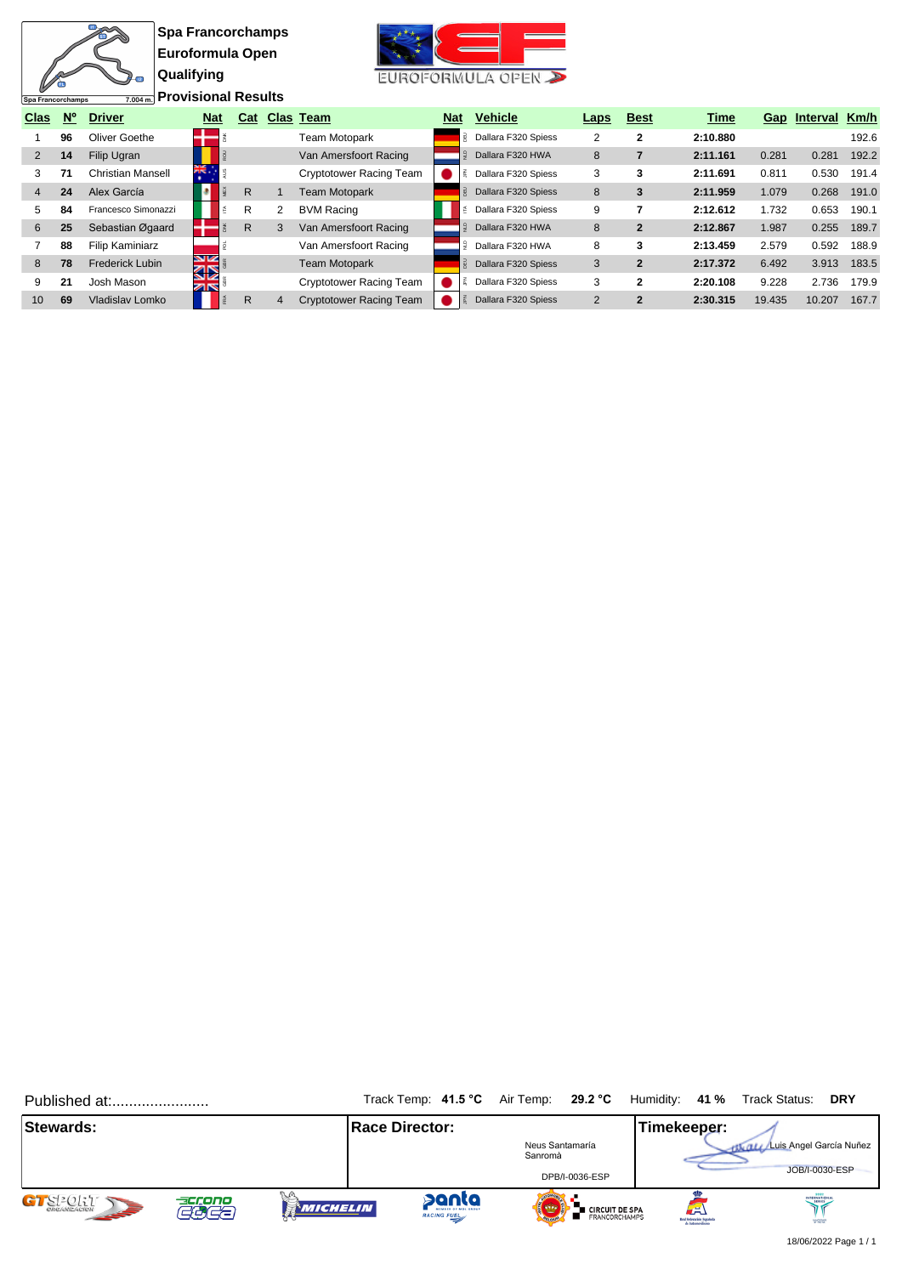**Spa Francorchamps Euroformula Open Qualifying Provisional Results**

衙

Spa Francorchamps



| Clas | $N^{\circ}$ | <b>Driver</b>            | <b>Nat</b> | Cat |   | Clas Team                      | Nat | <b>Vehicle</b>      | Laps | <b>Best</b>  | Time     | Gap    | Interval | Km/h  |
|------|-------------|--------------------------|------------|-----|---|--------------------------------|-----|---------------------|------|--------------|----------|--------|----------|-------|
|      | 96          | Oliver Goethe            |            |     |   | <b>Team Motopark</b>           | 릻   | Dallara F320 Spiess | 2    | 2            | 2:10.880 |        |          | 192.6 |
| 2    | 14          | Filip Ugran              |            |     |   | Van Amersfoort Racing          |     | Dallara F320 HWA    | 8    |              | 2:11.161 | 0.281  | 0.281    | 192.2 |
|      |             | <b>Christian Mansell</b> | XK .       |     |   | <b>Cryptotower Racing Team</b> |     | Dallara F320 Spiess | 3    | 3            | 2:11.691 | 0.811  | 0.530    | 191.4 |
| 4    | 24          | Alex García              |            | R   |   | <b>Team Motopark</b>           | 显   | Dallara F320 Spiess | 8    | 3            | 2:11.959 | 1.079  | 0.268    | 191.0 |
| 5    | 84          | Francesco Simonazzi      |            | R   | 2 | <b>BVM Racing</b>              |     | Dallara F320 Spiess | 9    |              | 2:12.612 | 1.732  | 0.653    | 190.1 |
| 6    | 25          | Sebastian Øgaard         |            | R   | 3 | Van Amersfoort Racing          |     | Dallara F320 HWA    | 8    | $\mathbf{2}$ | 2:12.867 | 1.987  | 0.255    | 189.7 |
|      | 88          | Filip Kaminiarz          |            |     |   | Van Amersfoort Racing          |     | Dallara F320 HWA    | 8    | 3            | 2:13.459 | 2.579  | 0.592    | 188.9 |
| 8    | 78          | Frederick Lubin          | V<br>ସ⊠    |     |   | <b>Team Motopark</b>           | 显   | Dallara F320 Spiess | 3    | $\mathbf{2}$ | 2:17.372 | 6.492  | 3.913    | 183.5 |
| 9    | 21          | Josh Mason               | ZK         |     |   | Cryptotower Racing Team        |     | Dallara F320 Spiess | 3    | 2            | 2:20.108 | 9.228  | 2.736    | 179.9 |
| 10   | 69          | Vladislav Lomko          |            | R   |   | <b>Cryptotower Racing Team</b> |     | Dallara F320 Spiess | 2    | $\mathbf{2}$ | 2:30.315 | 19.435 | 10.207   | 167.7 |

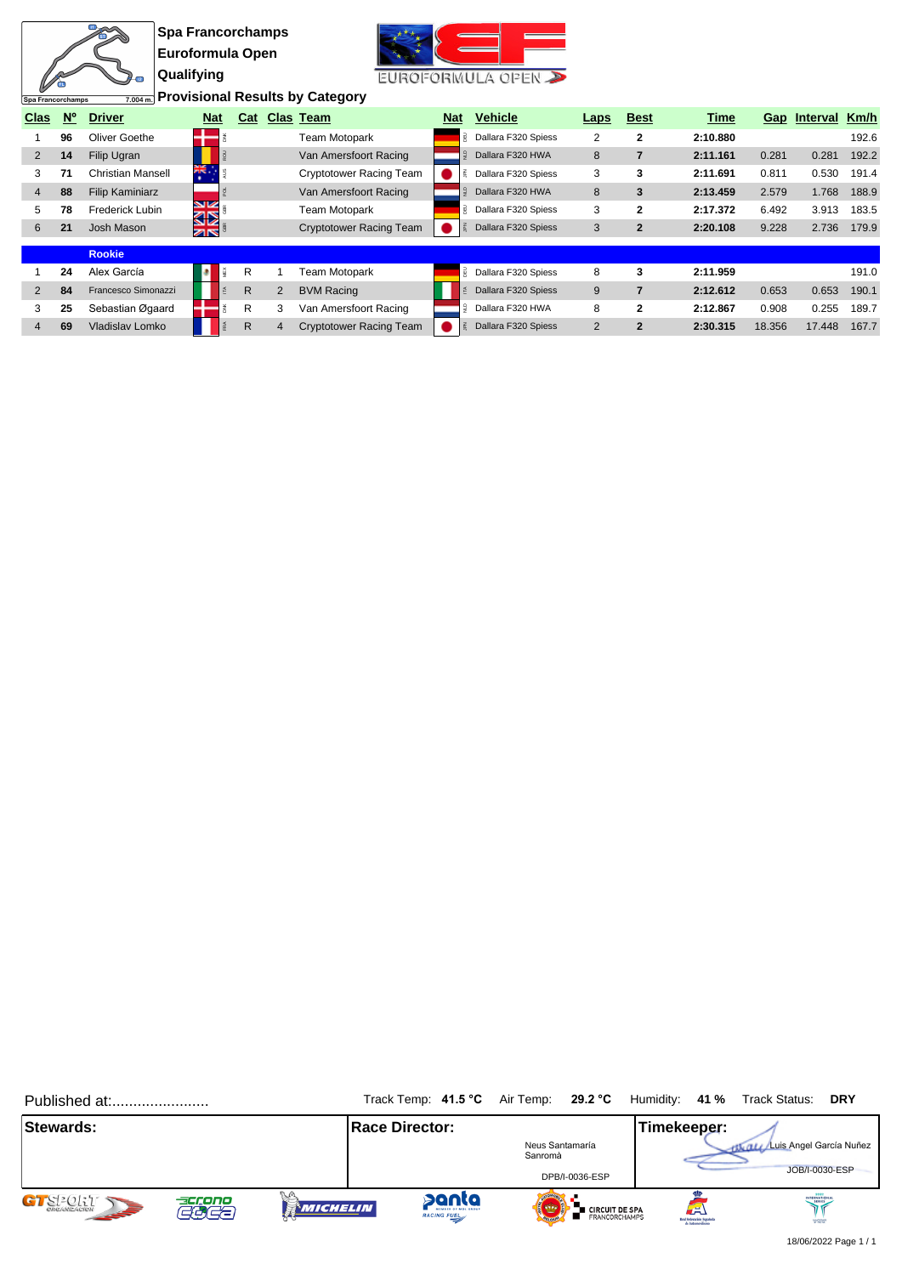| Spa Francorchamps |             | $-12$<br>7.004 m.        | <b>Qualifying</b> | <b>Spa Francorchamps</b><br>Euroformula Open |     |                | Provisional Results by Category |            | EUROFORMULA OPEN    |                |                |          |        |              |       |
|-------------------|-------------|--------------------------|-------------------|----------------------------------------------|-----|----------------|---------------------------------|------------|---------------------|----------------|----------------|----------|--------|--------------|-------|
| <b>Clas</b>       | $N^{\circ}$ | <b>Driver</b>            |                   | <b>Nat</b>                                   | Cat |                | <b>Clas Team</b>                | <b>Nat</b> | <b>Vehicle</b>      | Laps           | <b>Best</b>    | Time     |        | Gap Interval | Km/h  |
|                   | 96          | Oliver Goethe            |                   |                                              |     |                | <b>Team Motopark</b>            |            | Dallara F320 Spiess | 2              | $\mathbf{2}$   | 2:10.880 |        |              | 192.6 |
| 2                 | 14          | Filip Ugran              |                   |                                              |     |                | Van Amersfoort Racing           |            | Dallara F320 HWA    | 8              | $\overline{7}$ | 2:11.161 | 0.281  | 0.281        | 192.2 |
| 3                 | 71          | <b>Christian Mansell</b> |                   | ÷Ă.                                          |     |                | <b>Cryptotower Racing Team</b>  |            | Dallara F320 Spiess | 3              | 3              | 2:11.691 | 0.811  | 0.530        | 191.4 |
| 4                 | 88          | <b>Filip Kaminiarz</b>   |                   |                                              |     |                | Van Amersfoort Racing           |            | Dallara F320 HWA    | 8              | 3              | 2:13.459 | 2.579  | 1.768        | 188.9 |
| 5                 | 78          | Frederick Lubin          |                   | NZ<br>ସ⊠                                     |     |                | <b>Team Motopark</b>            | Ρ,         | Dallara F320 Spiess | 3              | $\mathbf{2}$   | 2:17.372 | 6.492  | 3.913        | 183.5 |
| 6                 | 21          | Josh Mason               |                   | <b>ZIN</b>                                   |     |                | <b>Cryptotower Racing Team</b>  |            | Dallara F320 Spiess | 3              | $\overline{2}$ | 2:20.108 | 9.228  | 2.736        | 179.9 |
|                   |             | <b>Rookie</b>            |                   |                                              |     |                |                                 |            |                     |                |                |          |        |              |       |
|                   | 24          | Alex García              |                   |                                              | R   |                | Team Motopark                   | <b>BED</b> | Dallara F320 Spiess | 8              | 3              | 2:11.959 |        |              | 191.0 |
| 2                 | 84          | Francesco Simonazzi      |                   |                                              | R   | $\overline{2}$ | <b>BVM Racing</b>               |            | Dallara F320 Spiess | 9              | $\overline{7}$ | 2:12.612 | 0.653  | 0.653        | 190.1 |
| 3                 | 25          | Sebastian Øgaard         |                   |                                              | R   | 3              | Van Amersfoort Racing           |            | Dallara F320 HWA    | 8              | $\mathbf{2}$   | 2:12.867 | 0.908  | 0.255        | 189.7 |
| 4                 | 69          | Vladislav Lomko          |                   |                                              | R.  |                | <b>Cryptotower Racing Team</b>  |            | Dallara F320 Spiess | $\overline{2}$ | $\overline{2}$ | 2:30.315 | 18.356 | 17.448       | 167.7 |

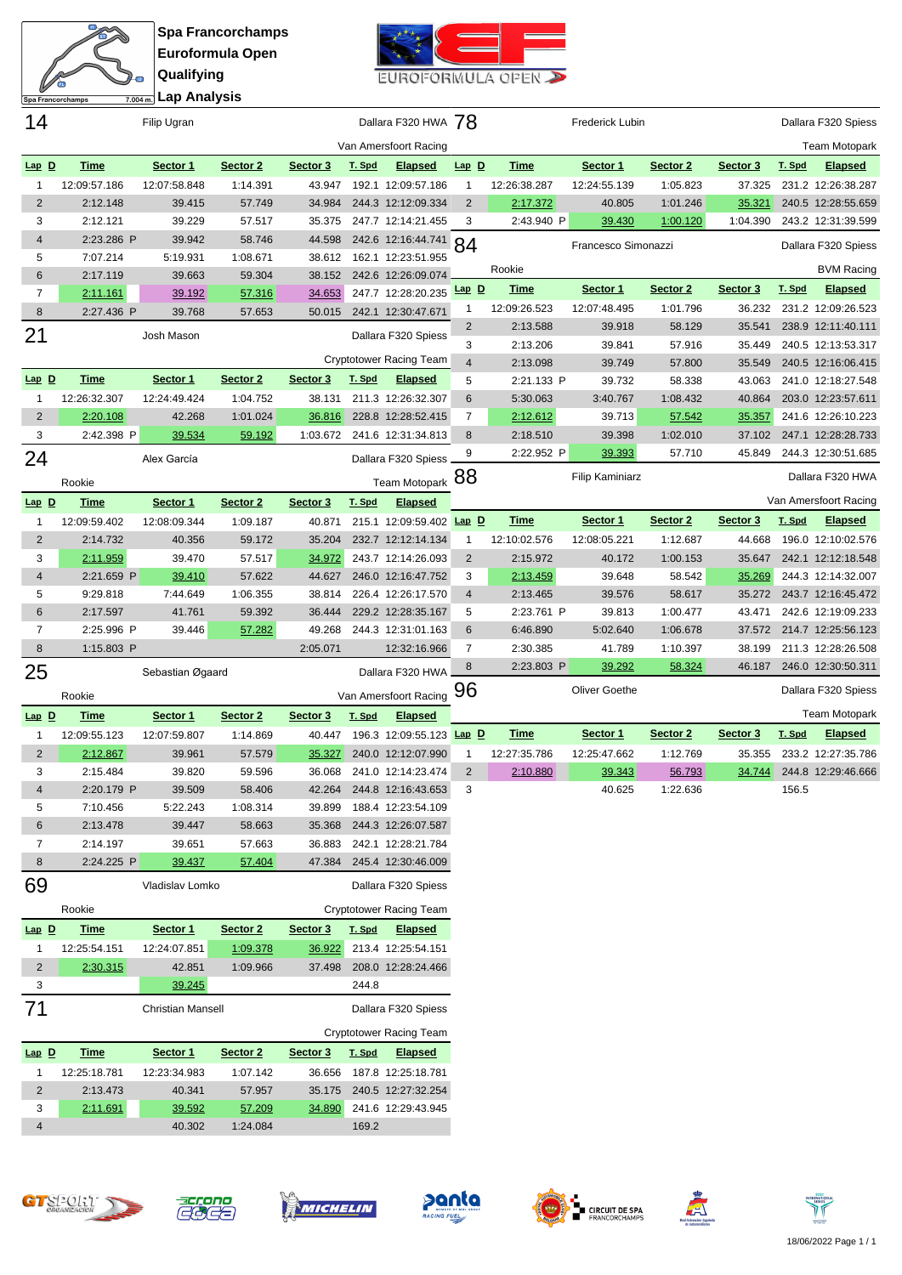$\frac{m}{m}$ N ø **Lap Analysis**Spa Francorchamps

**Spa Francorchamps Euroformula Open Qualifying**



| 14             |              | Filip Ugran              |          |          |        | Dallara F320 HWA 78            |                |              | <b>Frederick Lubin</b> |          |          |        | Dallara F320 Spiess   |
|----------------|--------------|--------------------------|----------|----------|--------|--------------------------------|----------------|--------------|------------------------|----------|----------|--------|-----------------------|
|                |              |                          |          |          |        | Van Amersfoort Racing          |                |              |                        |          |          |        | <b>Team Motopark</b>  |
| $Lap$ $D$      | <b>Time</b>  | Sector 1                 | Sector 2 | Sector 3 | T. Spd | <b>Elapsed</b>                 | $Lap$ $D$      | <b>Time</b>  | Sector 1               | Sector 2 | Sector 3 | T. Spd | <b>Elapsed</b>        |
| $\mathbf{1}$   | 12:09:57.186 | 12:07:58.848             | 1:14.391 | 43.947   |        | 192.1 12:09:57.186             | $\mathbf{1}$   | 12:26:38.287 | 12:24:55.139           | 1:05.823 | 37.325   |        | 231.2 12:26:38.287    |
| $\overline{2}$ | 2:12.148     | 39.415                   | 57.749   | 34.984   |        | 244.3 12:12:09.334             | $\overline{2}$ | 2:17.372     | 40.805                 | 1:01.246 | 35.321   |        | 240.5 12:28:55.659    |
| 3              | 2:12.121     | 39.229                   | 57.517   | 35.375   |        | 247.7 12:14:21.455             | 3              | 2:43.940 P   | 39.430                 | 1:00.120 | 1:04.390 |        | 243.2 12:31:39.599    |
| 4              | 2:23.286 P   | 39.942                   | 58.746   | 44.598   |        | 242.6 12:16:44.741 84          |                |              | Francesco Simonazzi    |          |          |        | Dallara F320 Spiess   |
| 5              | 7:07.214     | 5:19.931                 | 1:08.671 | 38.612   |        | 162.1 12:23:51.955             |                | Rookie       |                        |          |          |        | <b>BVM Racing</b>     |
| 6              | 2:17.119     | 39.663                   | 59.304   | 38.152   |        | 242.6 12:26:09.074             | Lap D          | <b>Time</b>  | Sector 1               | Sector 2 | Sector 3 | T. Spd | <b>Elapsed</b>        |
| $\overline{7}$ | 2:11.161     | 39.192                   | 57.316   | 34.653   |        | 247.7 12:28:20.235             | $\mathbf{1}$   | 12:09:26.523 | 12:07:48.495           | 1:01.796 | 36.232   |        | 231.2 12:09:26.523    |
| 8              | 2:27.436 P   | 39.768                   | 57.653   | 50.015   |        | 242.1 12:30:47.671             | $\overline{2}$ | 2:13.588     | 39.918                 | 58.129   | 35.541   |        | 238.9 12:11:40.111    |
| 21             |              | Josh Mason               |          |          |        | Dallara F320 Spiess            | 3              | 2:13.206     | 39.841                 | 57.916   | 35.449   |        | 240.5 12:13:53.317    |
|                |              |                          |          |          |        | <b>Cryptotower Racing Team</b> | $\overline{4}$ | 2:13.098     | 39.749                 | 57.800   | 35.549   |        | 240.5 12:16:06.415    |
| $Lap$ D        | Time         | Sector 1                 | Sector 2 | Sector 3 | T. Spd | <b>Elapsed</b>                 | 5              | 2:21.133 P   | 39.732                 | 58.338   | 43.063   |        | 241.0 12:18:27.548    |
| $\mathbf{1}$   | 12:26:32.307 | 12:24:49.424             | 1:04.752 | 38.131   |        | 211.3 12:26:32.307             | 6              | 5:30.063     | 3:40.767               | 1:08.432 | 40.864   |        | 203.0 12:23:57.611    |
| $\overline{2}$ | 2:20.108     | 42.268                   | 1:01.024 | 36.816   |        | 228.8 12:28:52.415             | $\overline{7}$ | 2:12.612     | 39.713                 | 57.542   | 35.357   |        | 241.6 12:26:10.223    |
| 3              | 2:42.398 P   | 39.534                   | 59.192   | 1:03.672 |        | 241.6 12:31:34.813             | 8              | 2:18.510     | 39.398                 | 1:02.010 | 37.102   |        | 247.1 12:28:28.733    |
| 24             |              | Alex García              |          |          |        | Dallara F320 Spiess.           | 9              | 2:22.952 P   | 39.393                 | 57.710   | 45.849   |        | 244.3 12:30:51.685    |
|                | Rookie       |                          |          |          |        | Team Motopark 88               |                |              | <b>Filip Kaminiarz</b> |          |          |        | Dallara F320 HWA      |
| $Lap$ D        | <b>Time</b>  | Sector 1                 | Sector 2 | Sector 3 | T. Spd | <b>Elapsed</b>                 |                |              |                        |          |          |        | Van Amersfoort Racing |
| $\mathbf{1}$   | 12:09:59.402 | 12:08:09.344             | 1:09.187 | 40.871   |        | 215.1 12:09:59.402 Lap D       |                | <b>Time</b>  | Sector 1               | Sector 2 | Sector 3 | T. Spd | <b>Elapsed</b>        |
| $\overline{2}$ | 2:14.732     | 40.356                   | 59.172   | 35.204   |        | 232.7 12:12:14.134             | 1              | 12:10:02.576 | 12:08:05.221           | 1:12.687 | 44.668   |        | 196.0 12:10:02.576    |
| 3              | 2:11.959     | 39.470                   | 57.517   | 34.972   |        | 243.7 12:14:26.093             | $\overline{2}$ | 2:15.972     | 40.172                 | 1:00.153 | 35.647   |        | 242.1 12:12:18.548    |
| 4              | 2:21.659 P   | 39.410                   | 57.622   | 44.627   |        | 246.0 12:16:47.752             | 3              | 2:13.459     | 39.648                 | 58.542   | 35.269   |        | 244.3 12:14:32.007    |
| 5              | 9:29.818     | 7:44.649                 | 1:06.355 | 38.814   |        | 226.4 12:26:17.570             | $\overline{4}$ | 2:13.465     | 39.576                 | 58.617   | 35.272   |        | 243.7 12:16:45.472    |
| 6              | 2:17.597     | 41.761                   | 59.392   | 36.444   |        | 229.2 12:28:35.167             | 5              | 2:23.761 P   | 39.813                 | 1:00.477 | 43.471   |        | 242.6 12:19:09.233    |
| $\overline{7}$ | 2:25.996 P   | 39.446                   | 57.282   | 49.268   |        | 244.3 12:31:01.163             | 6              | 6:46.890     | 5:02.640               | 1:06.678 | 37.572   |        | 214.7 12:25:56.123    |
| 8              | 1:15.803 P   |                          |          | 2:05.071 |        | 12:32:16.966                   | 7              | 2:30.385     | 41.789                 | 1:10.397 | 38.199   |        | 211.3 12:28:26.508    |
| 25             |              | Sebastian Øgaard         |          |          |        | Dallara F320 HWA               | 8              | 2:23.803 P   | 39.292                 | 58.324   | 46.187   |        | 246.0 12:30:50.311    |
|                | Rookie       |                          |          |          |        | Van Amersfoort Racing          | 96             |              | <b>Oliver Goethe</b>   |          |          |        | Dallara F320 Spiess   |
| $Lap$ D        | <b>Time</b>  | Sector 1                 | Sector 2 | Sector 3 | T. Spd | <u>Elapsed</u>                 |                |              |                        |          |          |        | <b>Team Motopark</b>  |
| $\mathbf{1}$   | 12:09:55.123 | 12:07:59.807             | 1:14.869 | 40.447   |        | 196.3 12:09:55.123             | $Lap$ D        | <b>Time</b>  | Sector 1               | Sector 2 | Sector 3 | T. Spd | <b>Elapsed</b>        |
| 2              | 2:12.867     | 39.961                   | 57.579   | 35.327   |        | 240.0 12:12:07.990             | $\mathbf{1}$   | 12:27:35.786 | 12:25:47.662           | 1:12.769 | 35.355   |        | 233.2 12:27:35.786    |
| 3              | 2:15.484     | 39.820                   | 59.596   | 36.068   |        | 241.0 12:14:23.474             | $\overline{2}$ | 2:10.880     | 39.343                 | 56.793   | 34.744   |        | 244.8 12:29:46.666    |
| 4              | 2:20.179 P   | 39.509                   | 58.406   | 42.264   |        | 244.8 12:16:43.653             | 3              |              | 40.625                 | 1:22.636 |          | 156.5  |                       |
| 5              | 7:10.456     | 5:22.243                 | 1:08.314 | 39.899   |        | 188.4 12:23:54.109             |                |              |                        |          |          |        |                       |
| 6              | 2:13.478     | 39.447                   | 58.663   | 35.368   |        | 244.3 12:26:07.587             |                |              |                        |          |          |        |                       |
| 7              | 2:14.197     | 39.651                   | 57.663   | 36.883   |        | 242.1 12:28:21.784             |                |              |                        |          |          |        |                       |
| 8              | 2:24.225 P   | 39.437                   | 57.404   | 47.384   |        | 245.4 12:30:46.009             |                |              |                        |          |          |        |                       |
| 69             |              | Vladislav Lomko          |          |          |        | Dallara F320 Spiess            |                |              |                        |          |          |        |                       |
|                | Rookie       |                          |          |          |        | <b>Cryptotower Racing Team</b> |                |              |                        |          |          |        |                       |
| $Lap$ $D$      | <b>Time</b>  | Sector 1                 | Sector 2 | Sector 3 | T. Spd | <b>Elapsed</b>                 |                |              |                        |          |          |        |                       |
| $\mathbf{1}$   | 12:25:54.151 | 12:24:07.851             | 1:09.378 | 36.922   |        | 213.4 12:25:54.151             |                |              |                        |          |          |        |                       |
| $\overline{2}$ | 2:30.315     | 42.851                   | 1:09.966 | 37.498   |        | 208.0 12:28:24.466             |                |              |                        |          |          |        |                       |
| 3              |              | 39.245                   |          |          | 244.8  |                                |                |              |                        |          |          |        |                       |
| 71             |              | <b>Christian Mansell</b> |          |          |        | Dallara F320 Spiess            |                |              |                        |          |          |        |                       |
|                |              |                          |          |          |        | <b>Cryptotower Racing Team</b> |                |              |                        |          |          |        |                       |
| $Lap$ $D$      | <b>Time</b>  | Sector 1                 | Sector 2 | Sector 3 | T. Spd | <b>Elapsed</b>                 |                |              |                        |          |          |        |                       |
| $\mathbf{1}$   | 12:25:18.781 | 12:23:34.983             | 1:07.142 | 36.656   |        | 187.8 12:25:18.781             |                |              |                        |          |          |        |                       |
| $\overline{c}$ | 2:13.473     | 40.341                   | 57.957   | 35.175   |        | 240.5 12:27:32.254             |                |              |                        |          |          |        |                       |
| 3              | 2:11.691     | 39.592                   | 57.209   | 34.890   |        | 241.6 12:29:43.945             |                |              |                        |          |          |        |                       |
| 4              |              | 40.302                   | 1:24.084 |          | 169.2  |                                |                |              |                        |          |          |        |                       |
|                |              |                          |          |          |        |                                |                |              |                        |          |          |        |                       |











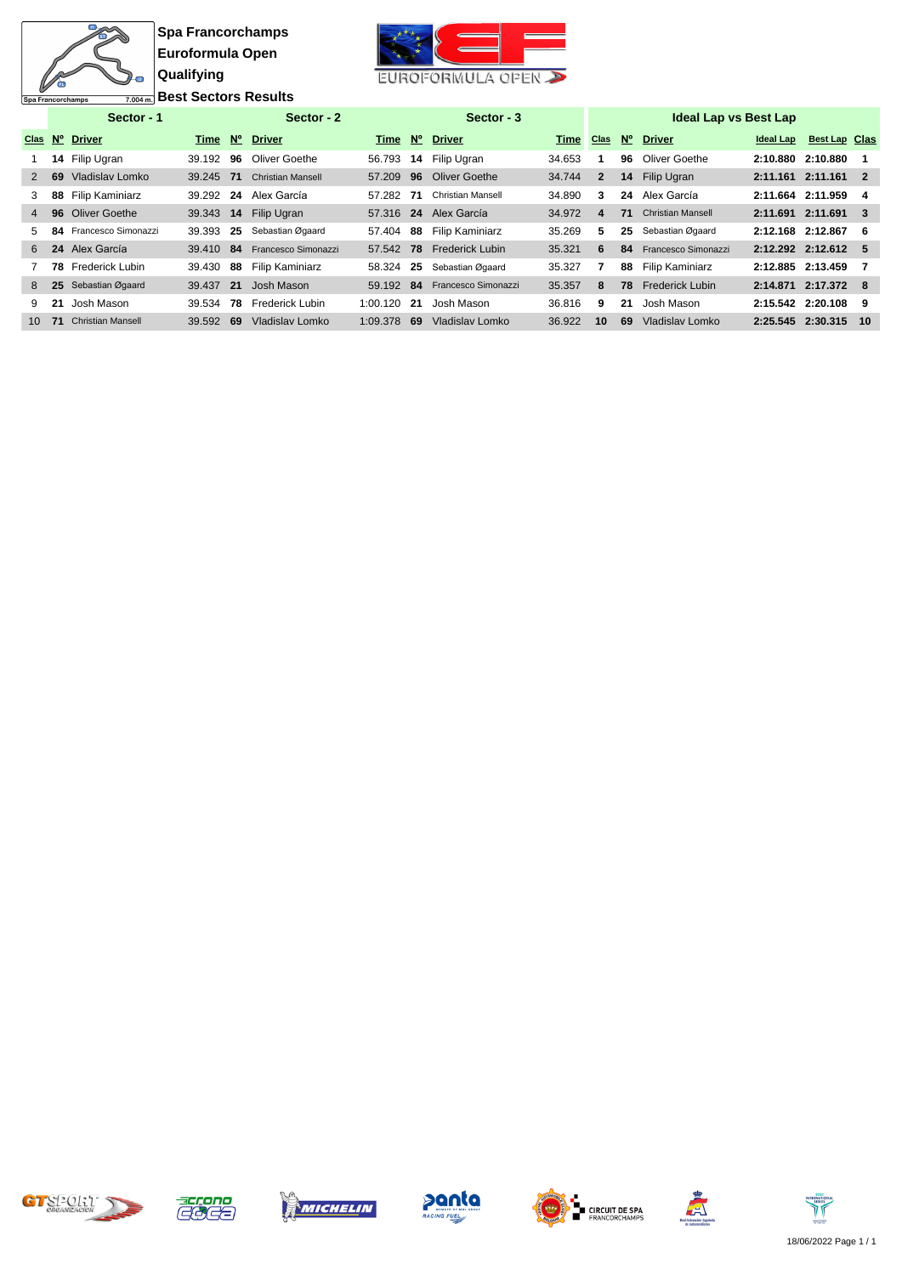$\overline{\mathbf{u}}$ 衙 21 Spa Francorchamps

**Spa Francorchamps Euroformula Open Qualifying Best Sectors Results**



EUROFORMULA OPEN

|                |     | Sector - 1               |           |    | Sector - 2               |           |             | Sector - 3               |             |              |             | <b>Ideal Lap vs Best Lap</b> |                   |                      |     |
|----------------|-----|--------------------------|-----------|----|--------------------------|-----------|-------------|--------------------------|-------------|--------------|-------------|------------------------------|-------------------|----------------------|-----|
|                |     | Clas Nº Driver           | Time N°   |    | <b>Driver</b>            | Time      | $N^{\circ}$ | <b>Driver</b>            | <b>Time</b> | <b>Clas</b>  | $N^{\circ}$ | <b>Driver</b>                | Ideal Lap         | <b>Best Lap Clas</b> |     |
|                |     | 14 Filip Ugran           | 39.192 96 |    | Oliver Goethe            | 56.793    |             | 14 Filip Ugran           | 34.653      |              | 96          | Oliver Goethe                | 2:10.880 2:10.880 |                      |     |
| 2              | 69  | Vladislav Lomko          | 39.245 71 |    | <b>Christian Mansell</b> | 57.209    | 96          | Oliver Goethe            | 34.744      | $\mathbf{2}$ |             | 14 Filip Ugran               |                   | 2:11.161 2:11.161 2  |     |
| 3              | 88  | Filip Kaminiarz          | 39.292 24 |    | Alex García              | 57.282    | 71          | <b>Christian Mansell</b> | 34.890      | 3            |             | 24 Alex García               |                   | 2:11.664 2:11.959    | 4   |
| $\overline{4}$ |     | 96 Oliver Goethe         | 39.343 14 |    | Filip Ugran              | 57.316 24 |             | Alex García              | 34.972      | 4            | 71          | <b>Christian Mansell</b>     |                   | 2:11.691 2:11.691    | -3  |
| 5.             | 84  | Francesco Simonazzi      | 39.393    | 25 | Sebastian Øgaard         | 57.404    | 88          | <b>Filip Kaminiarz</b>   | 35.269      | 5.           | 25          | Sebastian Øgaard             |                   | 2:12.168 2:12.867    | 6   |
| 6              |     | 24 Alex García           | 39.410 84 |    | Francesco Simonazzi      | 57.542 78 |             | <b>Frederick Lubin</b>   | 35.321      | 6            | 84          | Francesco Simonazzi          |                   | 2:12.292 2:12.612    | -5  |
|                | 78. | Frederick Lubin          | 39.430    | 88 | Filip Kaminiarz          | 58.324    | 25          | Sebastian Øgaard         | 35.327      |              | 88          | Filip Kaminiarz              | 2:12.885 2:13.459 |                      |     |
| 8              |     | 25 Sebastian Øgaard      | 39.437 21 |    | Josh Mason               | 59.192    | -84         | Francesco Simonazzi      | 35.357      | 8            | 78          | <b>Frederick Lubin</b>       |                   | 2:14.871 2:17.372    | - 8 |
| 9              | 21  | Josh Mason               | 39.534    | 78 | Frederick Lubin          | 1:00.120  | 21          | Josh Mason               | 36.816      | 9            | 21          | Josh Mason                   |                   | 2:15.542 2:20.108    | 9   |
| $10^{-1}$      | 71  | <b>Christian Mansell</b> | 39.592    | 69 | Vladislav Lomko          | 1:09.378  | 69          | Vladislav Lomko          | 36.922      | 10           | 69          | Vladislav Lomko              |                   | 2:25.545 2:30.315    | 10  |













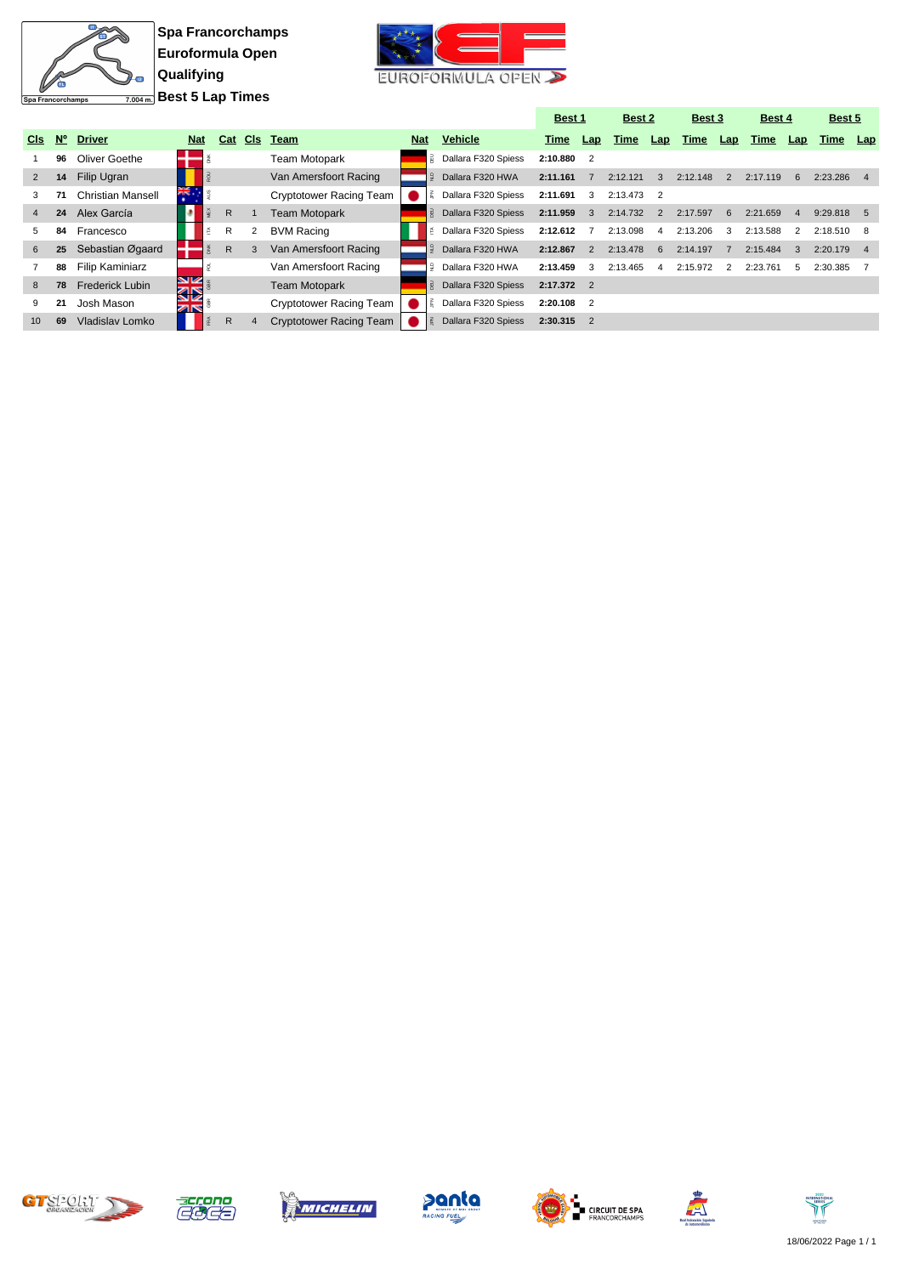

**Spa Francorchamps Euroformula Open Qualifying Best 5 Lap Times**



|                 |             |                          |            |   |     |            |                                |            |                     | <b>Best 1</b> |               | Best 2   |                | Best 3   |     | Best 4   |                | Best 5   |                |
|-----------------|-------------|--------------------------|------------|---|-----|------------|--------------------------------|------------|---------------------|---------------|---------------|----------|----------------|----------|-----|----------|----------------|----------|----------------|
| C <sub>ls</sub> | $N^{\circ}$ | <b>Driver</b>            | <b>Nat</b> |   | Cat | <b>CIs</b> | Team                           | <b>Nat</b> | <b>Vehicle</b>      | Time          | Lap           | Time     | Lap            | Time     | Lap | Time     | Lap            | Time     | Lap            |
|                 | 96          | Oliver Goethe            |            |   |     |            | <b>Team Motopark</b>           |            | Dallara F320 Spiess | 2:10.880 2    |               |          |                |          |     |          |                |          |                |
| 2               | 14          | Filip Ugran              |            |   |     |            | Van Amersfoort Racing          |            | Dallara F320 HWA    | 2:11.161      |               | 2:12.121 | 3              | 2:12.148 | 2   | 2:17.119 | 6              | 2:23.286 | $\overline{4}$ |
| 3               | 71          | <b>Christian Mansell</b> | ăk.        |   |     |            | <b>Cryptotower Racing Team</b> |            | Dallara F320 Spiess | 2:11.691      | 3             | 2:13.473 |                |          |     |          |                |          |                |
| $\overline{4}$  | 24          | Alex García              |            |   | R.  |            | <b>Team Motopark</b>           |            | Dallara F320 Spiess | 2:11.959      | 3             | 2:14.732 | $\overline{2}$ | 2:17.597 | 6   | 2:21.659 | $\overline{4}$ | 9:29.818 | $5^{\circ}$    |
| 5               | 84          | Francesco                |            | 舌 | R   | 2          | <b>BVM Racing</b>              |            | Dallara F320 Spiess | 2:12.612      |               | 2:13.098 | 4              | 2:13.206 | 3   | 2:13.588 | 2              | 2:18.510 |                |
| 6               | 25          | Sebastian Øgaard         |            |   | R.  | 3          | Van Amersfoort Racing          |            | Dallara F320 HWA    | 2:12.867      | $\mathcal{P}$ | 2:13.478 | 6              | 2:14.197 |     | 2:15.484 | 3              | 2:20.179 | $\overline{4}$ |
|                 | 88          | Filip Kaminiarz          |            |   |     |            | Van Amersfoort Racing          |            | Dallara F320 HWA    | 2:13.459      | 3             | 2:13.465 | 4              | 2:15.972 | 2   | 2:23.761 | 5.             | 2:30.385 |                |
| 8               | 78          | <b>Frederick Lubin</b>   | NIZ.<br>द⊠ |   |     |            | <b>Team Motopark</b>           |            | Dallara F320 Spiess | $2:17.372$ 2  |               |          |                |          |     |          |                |          |                |
|                 | 21          | Josh Mason               | ZK         |   |     |            | Cryptotower Racing Team        |            | Dallara F320 Spiess | $2:20.108$ 2  |               |          |                |          |     |          |                |          |                |
| 10              | 69          | Vladislav Lomko          |            |   | R.  | 4          | Cryptotower Racing Team        |            | Dallara F320 Spiess | 2:30.315      |               |          |                |          |     |          |                |          |                |













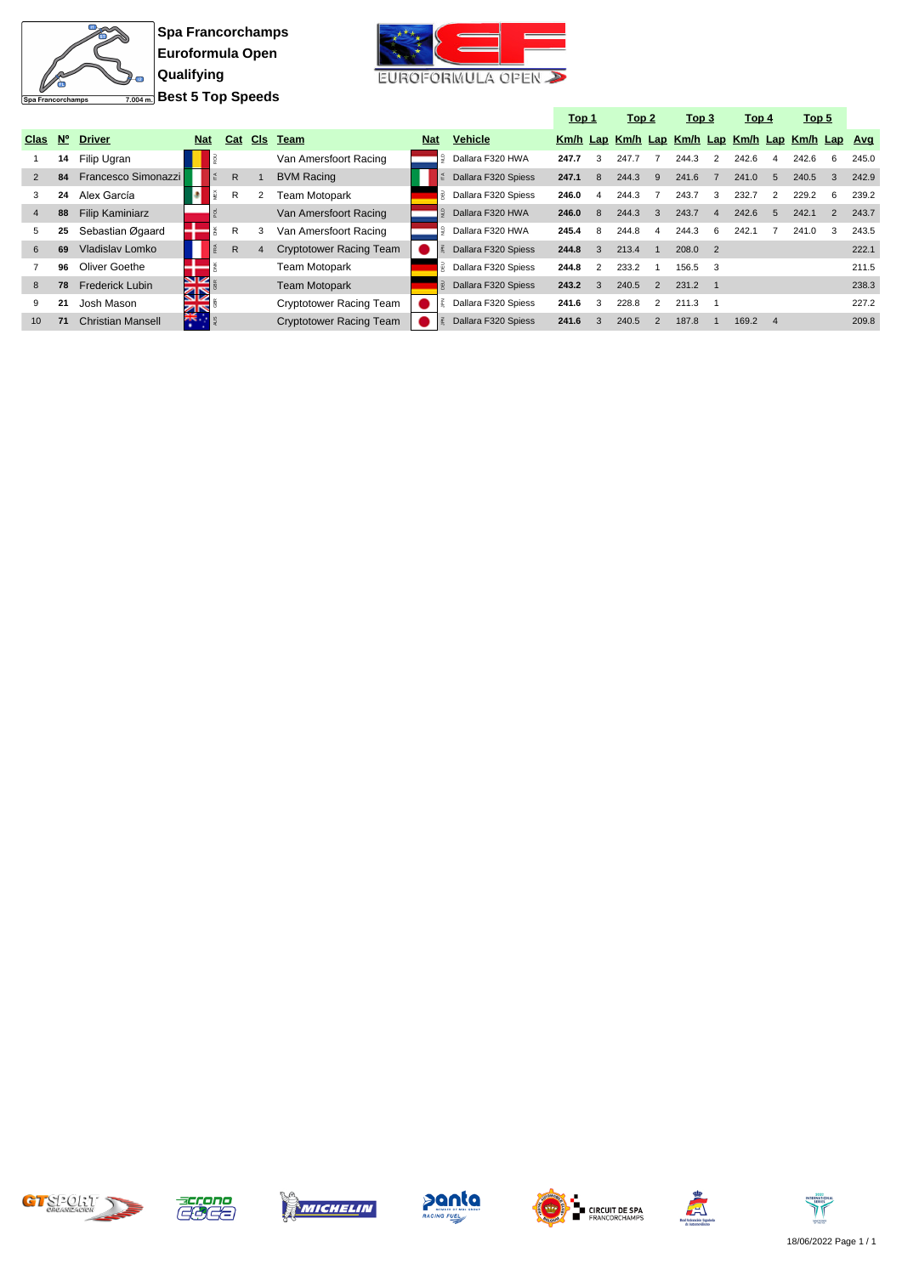

**Spa Francorchamps Euroformula Open Qualifying Best 5 Top Speeds**



|                |             |                          |            |              |     |                                |            |                     | <u>Top 1</u> |              | Top <sub>2</sub> |                | Top 3                                            |                | <u>Top 4</u> |                | Top <sub>5</sub> |    |       |
|----------------|-------------|--------------------------|------------|--------------|-----|--------------------------------|------------|---------------------|--------------|--------------|------------------|----------------|--------------------------------------------------|----------------|--------------|----------------|------------------|----|-------|
| Clas           | $N^{\circ}$ | <b>Driver</b>            | <b>Nat</b> | Cat          | CIs | Team                           | <b>Nat</b> | <b>Vehicle</b>      |              |              |                  |                | Km/h Lap Km/h Lap Km/h Lap Km/h Lap Km/h Lap Avg |                |              |                |                  |    |       |
|                | 14          | Filip Ugran              |            |              |     | Van Amersfoort Racing          |            | Dallara F320 HWA    | 247.7        | 3            | 247.7            |                | 244.3                                            | 2              | 242.6        | 4              | 242.6            | 6  | 245.0 |
| 2              | 84          | Francesco Simonazzi      |            | $\mathsf{R}$ |     | <b>BVM Racing</b>              |            | Dallara F320 Spiess | 247.1        | 8            | 244.3            | 9              | 241.6                                            |                | 241.0        | 5              | 240.5            | 3  | 242.9 |
| 3              | 24          | Alex García              |            | R            |     | Team Motopark                  |            | Dallara F320 Spiess | 246.0        | 4            | 244.3            |                | 243.7                                            | 3              | 232.7        |                | 229.2            | -6 | 239.2 |
| $\overline{4}$ | 88          | <b>Filip Kaminiarz</b>   |            |              |     | Van Amersfoort Racing          |            | Dallara F320 HWA    | 246.0        | $\mathsf{R}$ | 244.3            | $\mathcal{B}$  | 243.7                                            | 4              | 242.6        | 5              | 242.1            |    | 243.7 |
| 5              | 25          | Sebastian Øgaard         |            | R            |     | Van Amersfoort Racing          |            | Dallara F320 HWA    | 245.4        | 8            | 244.8            | 4              | 244.3                                            | 6              | 242.1        |                | 241.0            | 3  | 243.5 |
| 6              | 69          | Vladislav Lomko          |            | $\mathsf{R}$ |     | <b>Cryptotower Racing Team</b> |            | Dallara F320 Spiess | 244.8        | 3            | 213.4            |                | 208.0                                            | $\overline{2}$ |              |                |                  |    | 222.1 |
|                | 96          | Oliver Goethe            |            |              |     | Team Motopark                  |            | Dallara F320 Spiess | 244.8        | 2            | 233.2            |                | 156.5                                            | 3              |              |                |                  |    | 211.5 |
| 8              | 78          | <b>Frederick Lubin</b>   | NZ<br>ସ⊠   |              |     | <b>Team Motopark</b>           |            | Dallara F320 Spiess | 243.2        | 3            | 240.5            | 2              | 231.2                                            |                |              |                |                  |    | 238.3 |
| 9              | 21          | Josh Mason               |            |              |     | Cryptotower Racing Team        |            | Dallara F320 Spiess | 241.6        | 3            | 228.8            | $\mathcal{P}$  | 211.3                                            |                |              |                |                  |    | 227.2 |
| 10             | 71          | <b>Christian Mansell</b> | <b>NAT</b> |              |     | <b>Cryptotower Racing Team</b> |            | Dallara F320 Spiess | 241.6        | 3            | 240.5            | $\overline{2}$ | 187.8                                            |                | 169.2        | $\overline{4}$ |                  |    | 209.8 |













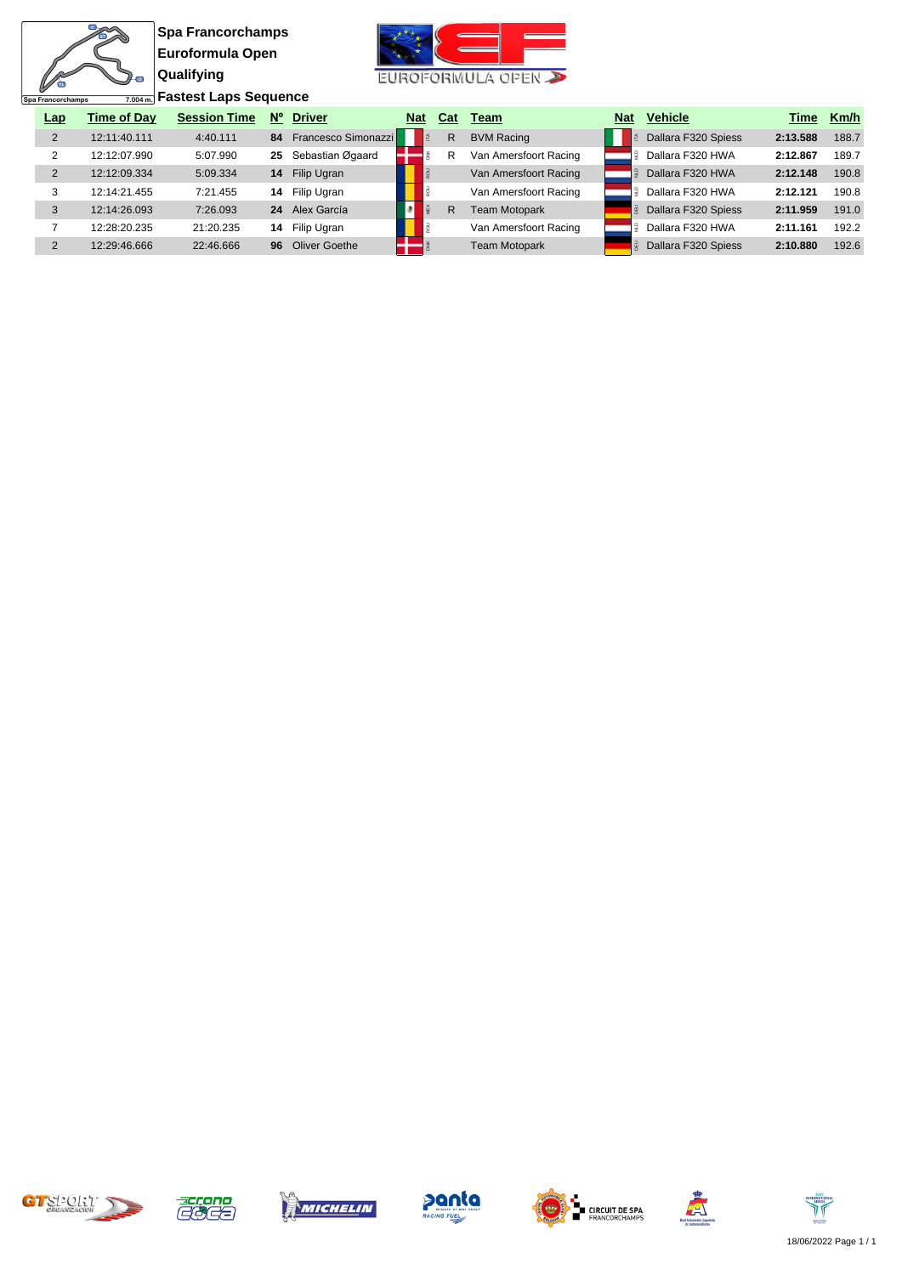**Spa Francorchamps Euroformula Open Qualifying**

 $\overline{11}$ 衙

Spa Francorchamps

 $\overline{2}$ 



**Fastest Laps Sequence**

| <b>Lap</b> | <b>Time of Dav</b> | <b>Session Time</b> | $N^{\circ}$ | <b>Driver</b>          | <b>Nat</b> | Cat | Team                  | <b>Nat</b> | <b>Vehicle</b>      | Time     | Km/h  |
|------------|--------------------|---------------------|-------------|------------------------|------------|-----|-----------------------|------------|---------------------|----------|-------|
|            | 12:11:40.111       | 4:40.111            |             | 84 Francesco Simonazzi |            | R   | <b>BVM Racing</b>     |            | Dallara F320 Spiess | 2:13.588 | 188.7 |
|            | 12:12:07.990       | 5:07.990            | 25          | Sebastian Øgaard       |            | R   | Van Amersfoort Racing |            | Dallara F320 HWA    | 2:12.867 | 189.7 |
| 2          | 12:12:09.334       | 5:09.334            | 14          | Filip Ugran            |            |     | Van Amersfoort Racing |            | Dallara F320 HWA    | 2:12.148 | 190.8 |
|            | 12:14:21.455       | 7:21.455            |             | 14 Filip Ugran         |            |     | Van Amersfoort Racing |            | Dallara F320 HWA    | 2:12.121 | 190.8 |
| 3          | 12:14:26.093       | 7:26.093            | 24          | Alex García            |            | R   | <b>Team Motopark</b>  |            | Dallara F320 Spiess | 2:11.959 | 191.0 |
|            | 12:28:20.235       | 21:20.235           |             | 14 Filip Ugran         |            |     | Van Amersfoort Racing |            | Dallara F320 HWA    | 2:11.161 | 192.2 |
|            | 12:29:46.666       | 22:46.666           | 96          | Oliver Goethe          |            |     | <b>Team Motopark</b>  |            | Dallara F320 Spiess | 2:10.880 | 192.6 |











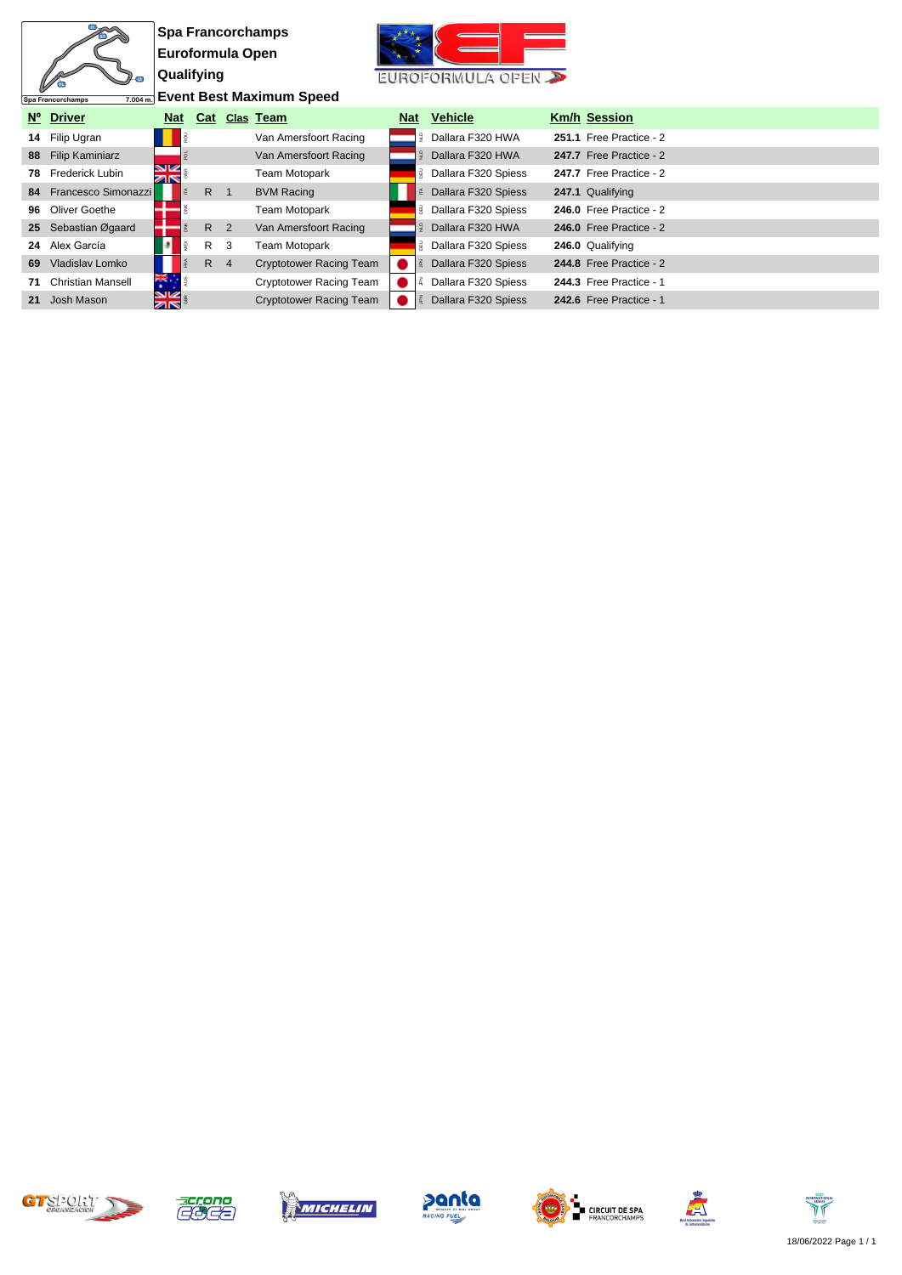|    |                               |                         |                |   | <b>Spa Francorchamps</b>        |            |   |                     |                         |
|----|-------------------------------|-------------------------|----------------|---|---------------------------------|------------|---|---------------------|-------------------------|
|    |                               | Euroformula Open        |                |   |                                 |            |   |                     |                         |
|    |                               | Qualifying              |                |   |                                 |            |   | EUROFORMULA OPEN    |                         |
|    | 7.004 m.<br>Spa Francorchamps |                         |                |   | <b>Event Best Maximum Speed</b> |            |   |                     |                         |
|    | Nº Driver                     | <b>Nat</b>              | Cat            |   | Clas Team                       | <b>Nat</b> |   | <b>Vehicle</b>      | <b>Km/h Session</b>     |
|    | 14 Filip Ugran                |                         |                |   | Van Amersfoort Racing           |            | å | Dallara F320 HWA    | 251.1 Free Practice - 2 |
|    | 88 Filip Kaminiarz            |                         |                |   | Van Amersfoort Racing           |            |   | Dallara F320 HWA    | 247.7 Free Practice - 2 |
| 78 | Frederick Lubin               | NK<br>ar                |                |   | Team Motopark                   |            |   | Dallara F320 Spiess | 247.7 Free Practice - 2 |
|    | 84 Francesco Simonazzi        |                         | R 1            |   | <b>BVM Racing</b>               |            |   | Dallara F320 Spiess | 247.1 Qualifying        |
| 96 | Oliver Goethe                 |                         |                |   | Team Motopark                   |            |   | Dallara F320 Spiess | 246.0 Free Practice - 2 |
|    | 25 Sebastian Øgaard           |                         | R <sub>2</sub> |   | Van Amersfoort Racing           |            |   | Dallara F320 HWA    | 246.0 Free Practice - 2 |
|    | 24 Alex García                |                         | R.             | 3 | <b>Team Motopark</b>            |            |   | Dallara F320 Spiess | 246.0 Qualifying        |
| 69 | Vladislav Lomko               |                         | $R \quad 4$    |   | <b>Cryptotower Racing Team</b>  |            |   | Dallara F320 Spiess | 244.8 Free Practice - 2 |
| 71 | <b>Christian Mansell</b>      | 大学                      |                |   | Cryptotower Racing Team         |            |   | Dallara F320 Spiess | 244.3 Free Practice - 1 |
| 21 | Josh Mason                    | <b>SK</b><br><b>zis</b> |                |   | <b>Cryptotower Racing Team</b>  |            |   | Dallara F320 Spiess | 242.6 Free Practice - 1 |













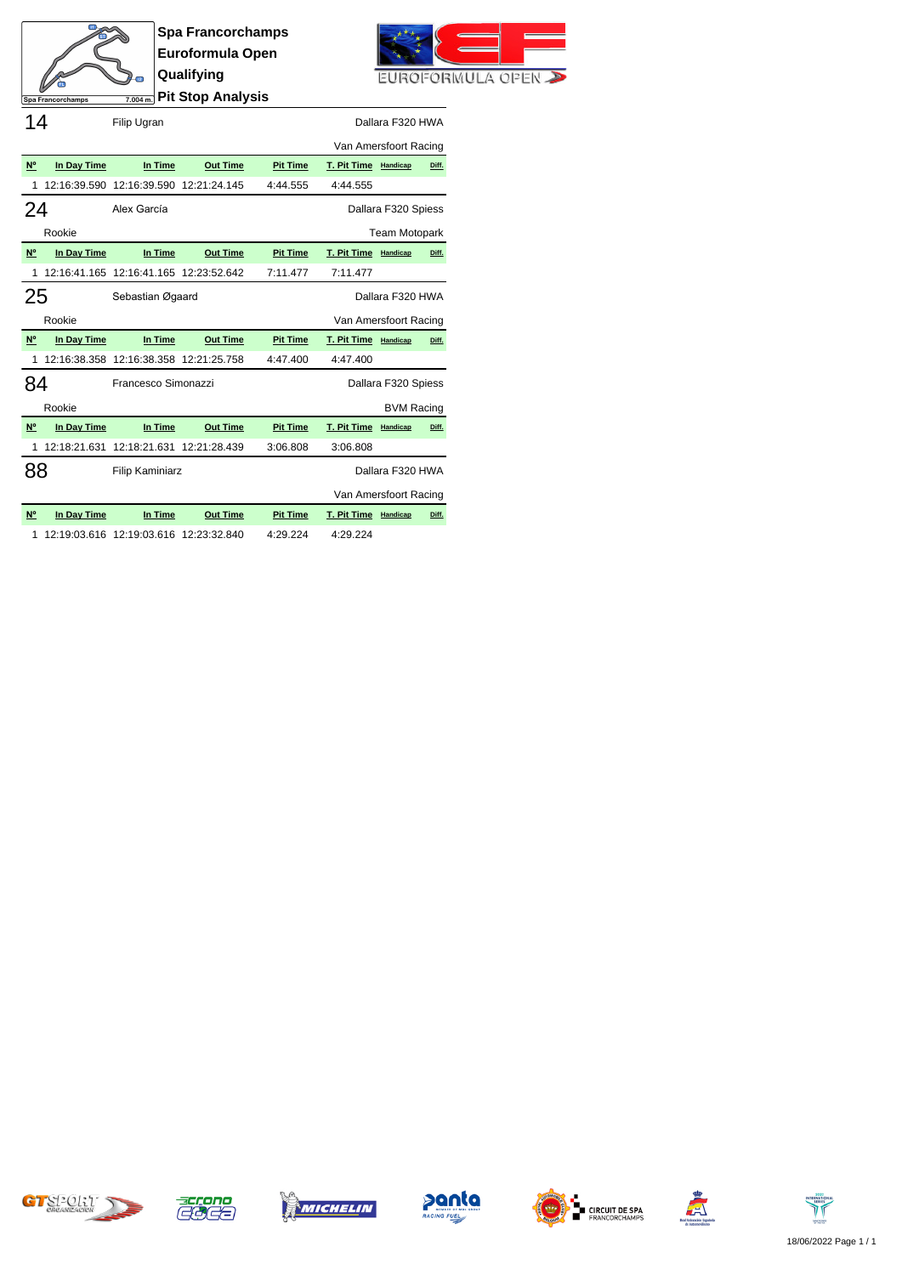

**Spa Francorchamps Euroformula Open Qualifying Pit Stop Analysis**



Spa Francorchamps 14 Filip Ugran **Filip Ugran** Dallara F320 HWA

|           |              |                                        |                 |                 | Van Amersfoort Racing |                      |       |
|-----------|--------------|----------------------------------------|-----------------|-----------------|-----------------------|----------------------|-------|
| N°        | In Day Time  | In Time                                | <b>Out Time</b> | <b>Pit Time</b> | T. Pit Time           | Handicap             | Diff. |
| 1         | 12:16:39.590 | 12:16:39.590                           | 12:21:24.145    | 4:44.555        | 4:44.555              |                      |       |
| 24        |              | Alex García                            |                 |                 |                       | Dallara F320 Spiess  |       |
|           | Rookie       |                                        |                 |                 |                       | <b>Team Motopark</b> |       |
| <b>N°</b> | In Day Time  | In Time                                | <b>Out Time</b> | <b>Pit Time</b> | T. Pit Time Handicap  |                      | Diff. |
|           |              | 12:16:41.165 12:16:41.165 12:23:52.642 |                 | 7:11.477        | 7:11.477              |                      |       |
| 25        |              | Sebastian Øgaard                       |                 |                 |                       | Dallara F320 HWA     |       |
|           | Rookie       |                                        |                 |                 | Van Amersfoort Racing |                      |       |
|           |              |                                        |                 |                 |                       |                      |       |
| <b>N°</b> | In Day Time  | In Time                                | <b>Out Time</b> | <b>Pit Time</b> | T. Pit Time Handicap  |                      | Diff. |
|           |              | 12:16:38.358 12:16:38.358 12:21:25.758 |                 | 4:47.400        | 4:47.400              |                      |       |
|           |              | Francesco Simonazzi                    |                 |                 |                       | Dallara F320 Spiess  |       |
| 84        | Rookie       |                                        |                 |                 |                       | <b>BVM Racing</b>    |       |
| N°        | In Day Time  | In Time                                | <b>Out Time</b> | <b>Pit Time</b> | T. Pit Time           | Handicap             | Diff. |
|           | 12:18:21.631 | 12:18:21.631                           | 12:21:28.439    | 3:06.808        | 3:06.808              |                      |       |
| 88        |              | <b>Filip Kaminiarz</b>                 |                 |                 |                       | Dallara F320 HWA     |       |
|           |              |                                        |                 |                 | Van Amersfoort Racing |                      |       |
| N°        | In Day Time  | In Time                                | <b>Out Time</b> | <b>Pit Time</b> | T. Pit Time           | Handicap             | Diff. |

1 12:19:03.616 12:19:03.616 12:23:32.840 4:29.224 4:29.224